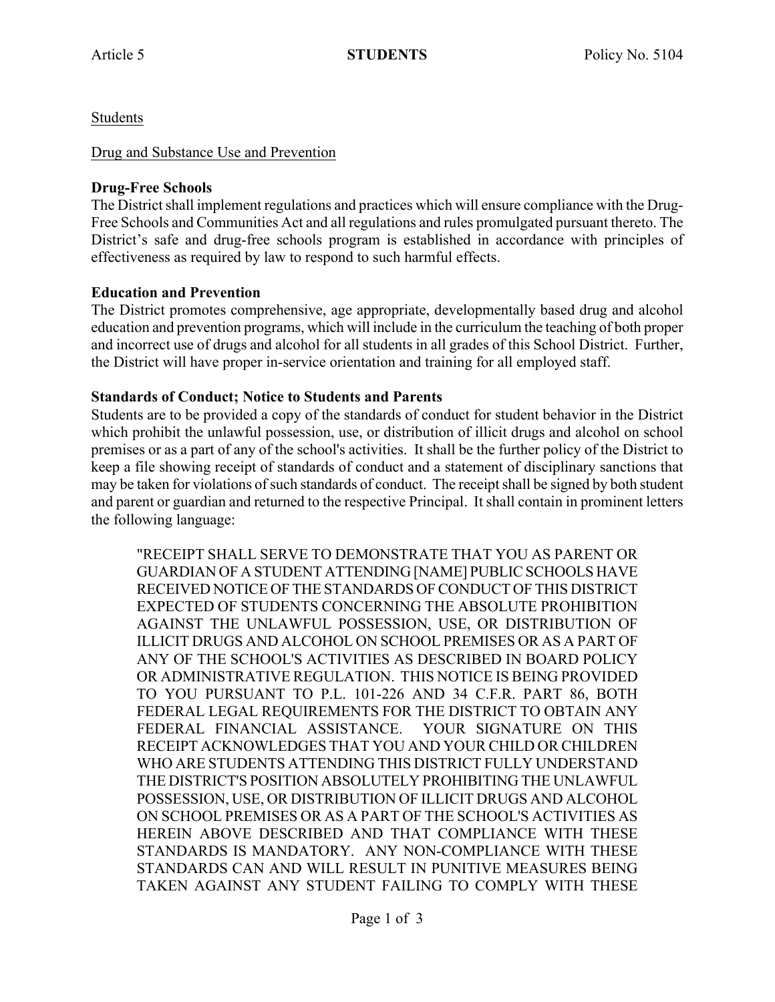Students

### Drug and Substance Use and Prevention

### **Drug-Free Schools**

The District shall implement regulations and practices which will ensure compliance with the Drug-Free Schools and Communities Act and all regulations and rules promulgated pursuant thereto. The District's safe and drug-free schools program is established in accordance with principles of effectiveness as required by law to respond to such harmful effects.

## **Education and Prevention**

The District promotes comprehensive, age appropriate, developmentally based drug and alcohol education and prevention programs, which will include in the curriculum the teaching of both proper and incorrect use of drugs and alcohol for all students in all grades of this School District. Further, the District will have proper in-service orientation and training for all employed staff.

#### **Standards of Conduct; Notice to Students and Parents**

Students are to be provided a copy of the standards of conduct for student behavior in the District which prohibit the unlawful possession, use, or distribution of illicit drugs and alcohol on school premises or as a part of any of the school's activities. It shall be the further policy of the District to keep a file showing receipt of standards of conduct and a statement of disciplinary sanctions that may be taken for violations of such standards of conduct. The receipt shall be signed by both student and parent or guardian and returned to the respective Principal. It shall contain in prominent letters the following language:

"RECEIPT SHALL SERVE TO DEMONSTRATE THAT YOU AS PARENT OR GUARDIAN OF A STUDENT ATTENDING [NAME] PUBLIC SCHOOLS HAVE RECEIVED NOTICE OF THE STANDARDS OF CONDUCT OF THIS DISTRICT EXPECTED OF STUDENTS CONCERNING THE ABSOLUTE PROHIBITION AGAINST THE UNLAWFUL POSSESSION, USE, OR DISTRIBUTION OF ILLICIT DRUGS AND ALCOHOL ON SCHOOL PREMISES OR AS A PART OF ANY OF THE SCHOOL'S ACTIVITIES AS DESCRIBED IN BOARD POLICY OR ADMINISTRATIVE REGULATION. THIS NOTICE IS BEING PROVIDED TO YOU PURSUANT TO P.L. 101-226 AND 34 C.F.R. PART 86, BOTH FEDERAL LEGAL REQUIREMENTS FOR THE DISTRICT TO OBTAIN ANY FEDERAL FINANCIAL ASSISTANCE. YOUR SIGNATURE ON THIS RECEIPT ACKNOWLEDGES THAT YOU AND YOUR CHILD OR CHILDREN WHO ARE STUDENTS ATTENDING THIS DISTRICT FULLY UNDERSTAND THE DISTRICT'S POSITION ABSOLUTELY PROHIBITING THE UNLAWFUL POSSESSION, USE, OR DISTRIBUTION OF ILLICIT DRUGS AND ALCOHOL ON SCHOOL PREMISES OR AS A PART OF THE SCHOOL'S ACTIVITIES AS HEREIN ABOVE DESCRIBED AND THAT COMPLIANCE WITH THESE STANDARDS IS MANDATORY. ANY NON-COMPLIANCE WITH THESE STANDARDS CAN AND WILL RESULT IN PUNITIVE MEASURES BEING TAKEN AGAINST ANY STUDENT FAILING TO COMPLY WITH THESE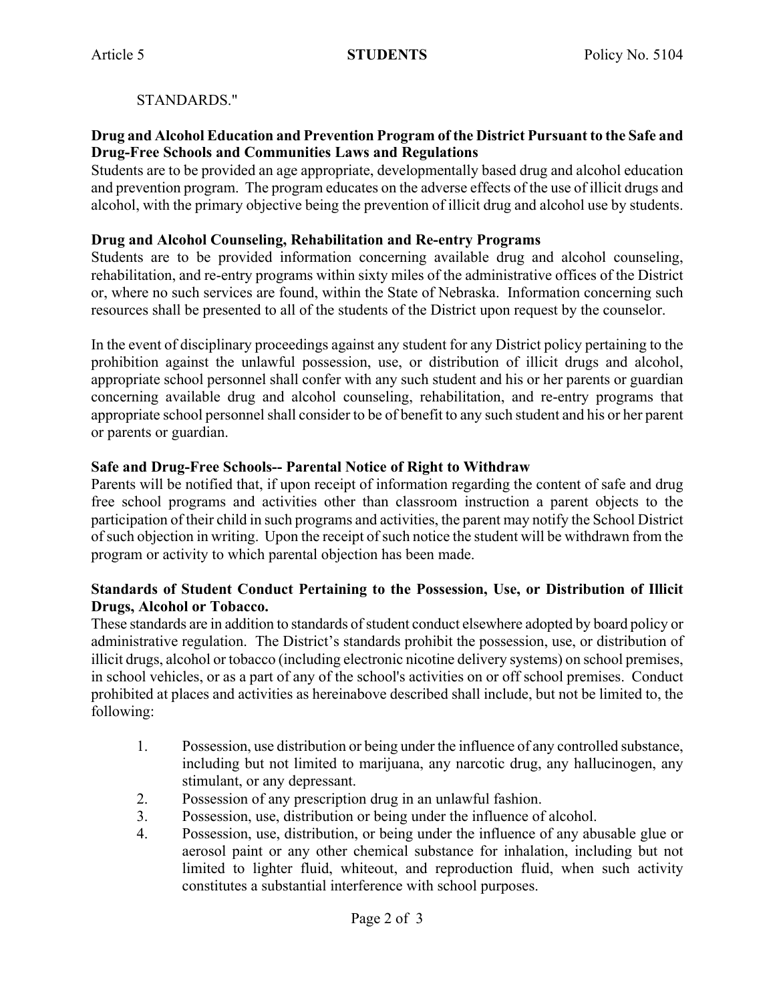# STANDARDS."

### **Drug and Alcohol Education and Prevention Program of the District Pursuant to the Safe and Drug-Free Schools and Communities Laws and Regulations**

Students are to be provided an age appropriate, developmentally based drug and alcohol education and prevention program. The program educates on the adverse effects of the use of illicit drugs and alcohol, with the primary objective being the prevention of illicit drug and alcohol use by students.

#### **Drug and Alcohol Counseling, Rehabilitation and Re-entry Programs**

Students are to be provided information concerning available drug and alcohol counseling, rehabilitation, and re-entry programs within sixty miles of the administrative offices of the District or, where no such services are found, within the State of Nebraska. Information concerning such resources shall be presented to all of the students of the District upon request by the counselor.

In the event of disciplinary proceedings against any student for any District policy pertaining to the prohibition against the unlawful possession, use, or distribution of illicit drugs and alcohol, appropriate school personnel shall confer with any such student and his or her parents or guardian concerning available drug and alcohol counseling, rehabilitation, and re-entry programs that appropriate school personnel shall consider to be of benefit to any such student and his or her parent or parents or guardian.

## **Safe and Drug-Free Schools-- Parental Notice of Right to Withdraw**

Parents will be notified that, if upon receipt of information regarding the content of safe and drug free school programs and activities other than classroom instruction a parent objects to the participation of their child in such programs and activities, the parent may notify the School District of such objection in writing. Upon the receipt of such notice the student will be withdrawn from the program or activity to which parental objection has been made.

## **Standards of Student Conduct Pertaining to the Possession, Use, or Distribution of Illicit Drugs, Alcohol or Tobacco.**

These standards are in addition to standards of student conduct elsewhere adopted by board policy or administrative regulation. The District's standards prohibit the possession, use, or distribution of illicit drugs, alcohol or tobacco (including electronic nicotine delivery systems) on school premises, in school vehicles, or as a part of any of the school's activities on or off school premises. Conduct prohibited at places and activities as hereinabove described shall include, but not be limited to, the following:

- 1. Possession, use distribution or being under the influence of any controlled substance, including but not limited to marijuana, any narcotic drug, any hallucinogen, any stimulant, or any depressant.
- 2. Possession of any prescription drug in an unlawful fashion.
- 3. Possession, use, distribution or being under the influence of alcohol.
- 4. Possession, use, distribution, or being under the influence of any abusable glue or aerosol paint or any other chemical substance for inhalation, including but not limited to lighter fluid, whiteout, and reproduction fluid, when such activity constitutes a substantial interference with school purposes.